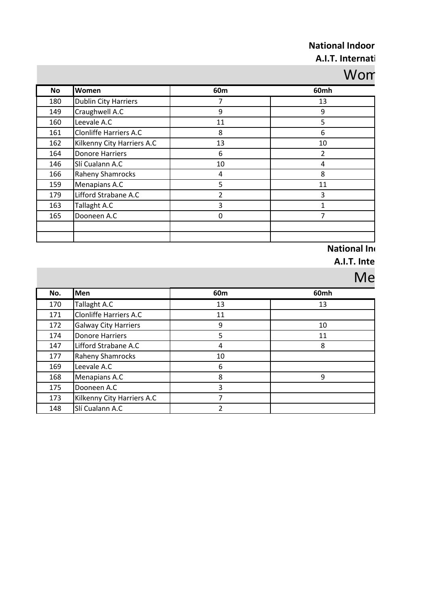# **National Indoor**

#### **A.I.T. Internati**

### Wom

| No  | Women                         | 60m | 60mh |
|-----|-------------------------------|-----|------|
| 180 | <b>Dublin City Harriers</b>   | 7   | 13   |
| 149 | Craughwell A.C                | 9   | 9    |
| 160 | Leevale A.C                   | 11  | 5    |
| 161 | <b>Clonliffe Harriers A.C</b> | 8   | 6    |
| 162 | Kilkenny City Harriers A.C    | 13  | 10   |
| 164 | <b>Donore Harriers</b>        | 6   | 2    |
| 146 | Slí Cualann A.C               | 10  | 4    |
| 166 | <b>Raheny Shamrocks</b>       | 4   | 8    |
| 159 | Menapians A.C                 | 5   | 11   |
| 179 | Lifford Strabane A.C          | 2   | 3    |
| 163 | Tallaght A.C                  | 3   |      |
| 165 | Dooneen A.C                   | 0   |      |
|     |                               |     |      |
|     |                               |     |      |

#### **National Ind**

**A.I.T. Inter** 

## $M<sub>o</sub>$

|     |                               |                | IVIE |
|-----|-------------------------------|----------------|------|
| No. | Men                           | 60m            | 60mh |
| 170 | Tallaght A.C                  | 13             | 13   |
| 171 | <b>Clonliffe Harriers A.C</b> | 11             |      |
| 172 | <b>Galway City Harriers</b>   | 9              | 10   |
| 174 | <b>Donore Harriers</b>        | 5              | 11   |
| 147 | Lifford Strabane A.C          | 4              | 8    |
| 177 | Raheny Shamrocks              | 10             |      |
| 169 | Leevale A.C                   | 6              |      |
| 168 | Menapians A.C                 | 8              | 9    |
| 175 | Dooneen A.C                   | 3              |      |
| 173 | Kilkenny City Harriers A.C    | 7              |      |
| 148 | Slí Cualann A.C               | $\overline{2}$ |      |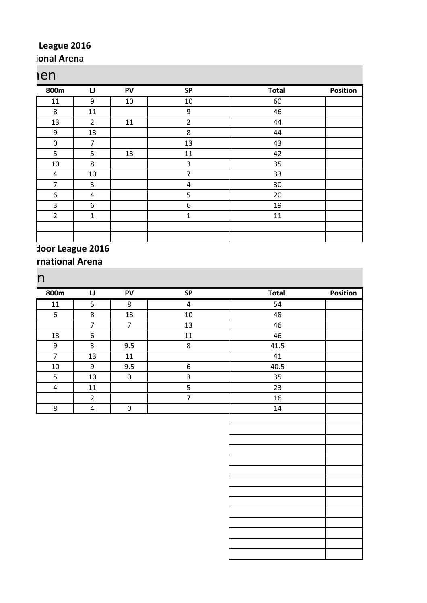#### League 2016 **ional Arena**

#### Women

| 800m             | IJ             | PV | <b>SP</b>      | <b>Total</b> | Position |
|------------------|----------------|----|----------------|--------------|----------|
| 11               | 9              | 10 | 10             | 60           |          |
| 8                | 11             |    | 9              | 46           |          |
| 13               | $\overline{2}$ | 11 | $\overline{2}$ | 44           |          |
| 9                | 13             |    | 8              | 44           |          |
| $\boldsymbol{0}$ | $\overline{7}$ |    | 13             | 43           |          |
| 5                | 5              | 13 | 11             | 42           |          |
| 10               | 8              |    | $\mathbf{3}$   | 35           |          |
| 4                | 10             |    | 7              | 33           |          |
| $\overline{7}$   | 3              |    | 4              | 30           |          |
| 6                | 4              |    | 5              | 20           |          |
| 3                | 6              |    | 6              | 19           |          |
| $\overline{2}$   | $\mathbf{1}$   |    | 1              | 11           |          |
|                  |                |    |                |              |          |
|                  |                |    |                |              |          |

#### **National Indoor League 2016**

**A.I.B. International Arena** 

| $11\,$<br>$\,8\,$<br>$\overline{4}$<br>54<br>5<br>$\,8$<br>$10\,$<br>$\boldsymbol{6}$<br>13<br>48<br>$\overline{7}$<br>$\overline{7}$<br>13<br>46<br>$\boldsymbol{6}$<br>46<br>13<br>$11\,$<br>$\overline{3}$<br>8<br>$\boldsymbol{9}$<br>9.5<br>41.5<br>$\overline{7}$<br>13<br>$11\,$<br>41<br>9<br>$\boldsymbol{6}$<br>40.5<br>$10\,$<br>9.5<br>$\mathbf{3}$<br>$\mathsf S$<br>$\pmb{0}$<br>35<br>$10\,$<br>$\overline{5}$<br>23<br>$11\,$<br>$\overline{4}$<br>$\overline{7}$<br>$\overline{2}$<br>16<br>$\overline{\mathbf{4}}$<br>$\bf 8$<br>$\pmb{0}$<br>14 | 800m | $\sqcup$ | <b>PV</b> | SP | <b>Total</b> | <b>Position</b> |
|--------------------------------------------------------------------------------------------------------------------------------------------------------------------------------------------------------------------------------------------------------------------------------------------------------------------------------------------------------------------------------------------------------------------------------------------------------------------------------------------------------------------------------------------------------------------|------|----------|-----------|----|--------------|-----------------|
|                                                                                                                                                                                                                                                                                                                                                                                                                                                                                                                                                                    |      |          |           |    |              |                 |
|                                                                                                                                                                                                                                                                                                                                                                                                                                                                                                                                                                    |      |          |           |    |              |                 |
|                                                                                                                                                                                                                                                                                                                                                                                                                                                                                                                                                                    |      |          |           |    |              |                 |
|                                                                                                                                                                                                                                                                                                                                                                                                                                                                                                                                                                    |      |          |           |    |              |                 |
|                                                                                                                                                                                                                                                                                                                                                                                                                                                                                                                                                                    |      |          |           |    |              |                 |
|                                                                                                                                                                                                                                                                                                                                                                                                                                                                                                                                                                    |      |          |           |    |              |                 |
|                                                                                                                                                                                                                                                                                                                                                                                                                                                                                                                                                                    |      |          |           |    |              |                 |
|                                                                                                                                                                                                                                                                                                                                                                                                                                                                                                                                                                    |      |          |           |    |              |                 |
|                                                                                                                                                                                                                                                                                                                                                                                                                                                                                                                                                                    |      |          |           |    |              |                 |
|                                                                                                                                                                                                                                                                                                                                                                                                                                                                                                                                                                    |      |          |           |    |              |                 |
|                                                                                                                                                                                                                                                                                                                                                                                                                                                                                                                                                                    |      |          |           |    |              |                 |
|                                                                                                                                                                                                                                                                                                                                                                                                                                                                                                                                                                    |      |          |           |    |              |                 |
|                                                                                                                                                                                                                                                                                                                                                                                                                                                                                                                                                                    |      |          |           |    |              |                 |
|                                                                                                                                                                                                                                                                                                                                                                                                                                                                                                                                                                    |      |          |           |    |              |                 |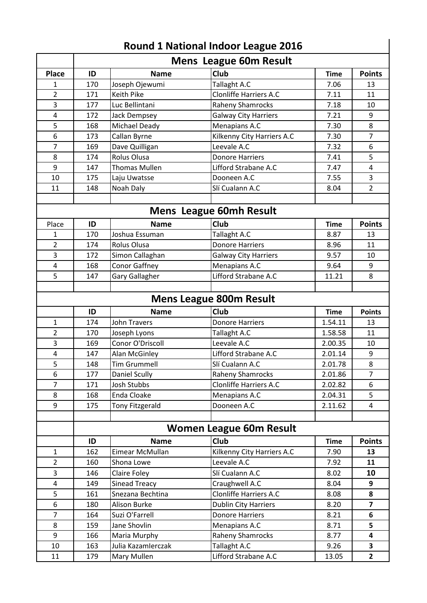|                | <b>Mens League 60m Result</b> |                        |                                |             |                         |  |
|----------------|-------------------------------|------------------------|--------------------------------|-------------|-------------------------|--|
| <b>Place</b>   | ID                            | <b>Name</b>            | <b>Club</b>                    | <b>Time</b> | <b>Points</b>           |  |
| 1              | 170                           | Joseph Ojewumi         | Tallaght A.C                   | 7.06        | 13                      |  |
| $\overline{2}$ | 171                           | <b>Keith Pike</b>      | Clonliffe Harriers A.C         | 7.11        | 11                      |  |
| 3              | 177                           | Luc Bellintani         | <b>Raheny Shamrocks</b>        | 7.18        | 10                      |  |
| 4              | 172                           | Jack Dempsey           | <b>Galway City Harriers</b>    | 7.21        | 9                       |  |
| 5              | 168                           | Michael Deady          | Menapians A.C                  | 7.30        | 8                       |  |
| 6              | 173                           | Callan Byrne           | Kilkenny City Harriers A.C     | 7.30        | $\overline{7}$          |  |
| $\overline{7}$ | 169                           | Dave Quilligan         | Leevale A.C                    | 7.32        | 6                       |  |
| 8              | 174                           | Rolus Olusa            | <b>Donore Harriers</b>         | 7.41        | 5                       |  |
| 9              | 147                           | Thomas Mullen          | Lifford Strabane A.C           | 7.47        | 4                       |  |
| 10             | 175                           | Laju Uwatsse           | Dooneen A.C                    | 7.55        | 3                       |  |
| 11             | 148                           | Noah Daly              | Slí Cualann A.C                | 8.04        | $\overline{2}$          |  |
|                |                               |                        |                                |             |                         |  |
|                |                               |                        | <b>Mens League 60mh Result</b> |             |                         |  |
| Place          | ID                            | <b>Name</b>            | <b>Club</b>                    | <b>Time</b> | <b>Points</b>           |  |
| 1              | 170                           | Joshua Essuman         | Tallaght A.C                   | 8.87        | 13                      |  |
| $\overline{2}$ | 174                           | <b>Rolus Olusa</b>     | <b>Donore Harriers</b>         | 8.96        | 11                      |  |
| 3              | 172                           | Simon Callaghan        | <b>Galway City Harriers</b>    | 9.57        | 10                      |  |
| 4              | 168                           | Conor Gaffney          | Menapians A.C                  | 9.64        | 9                       |  |
| 5              | 147                           | Gary Gallagher         | Lifford Strabane A.C           | 11.21       | 8                       |  |
|                |                               |                        |                                |             |                         |  |
|                |                               |                        | <b>Mens League 800m Result</b> |             |                         |  |
|                | ID                            | <b>Name</b>            | <b>Club</b>                    | <b>Time</b> | <b>Points</b>           |  |
| $\mathbf{1}$   | 174                           | <b>John Travers</b>    | <b>Donore Harriers</b>         | 1.54.11     | 13                      |  |
| $\overline{2}$ | 170                           | Joseph Lyons           | Tallaght A.C                   | 1.58.58     | 11                      |  |
| 3              | 169                           | Conor O'Driscoll       | Leevale A.C                    | 2.00.35     | 10                      |  |
| 4              | 147                           | Alan McGinley          | Lifford Strabane A.C           | 2.01.14     | 9                       |  |
| 5              | 148                           | <b>Tim Grummell</b>    | Slí Cualann A.C                | 2.01.78     | 8                       |  |
| 6              | 177                           | <b>Daniel Scully</b>   | <b>Raheny Shamrocks</b>        | 2.01.86     | $\overline{7}$          |  |
| $\overline{7}$ | 171                           | Josh Stubbs            | <b>Clonliffe Harriers A.C</b>  | 2.02.82     | 6                       |  |
| 8              | 168                           | Enda Cloake            | Menapians A.C                  | 2.04.31     | 5                       |  |
| 9              | 175                           | <b>Tony Fitzgerald</b> | Dooneen A.C                    | 2.11.62     | 4                       |  |
|                |                               |                        |                                |             |                         |  |
|                |                               |                        | <b>Women League 60m Result</b> |             |                         |  |
|                | ID                            | <b>Name</b>            | <b>Club</b>                    | <b>Time</b> | <b>Points</b>           |  |
| $\mathbf{1}$   | 162                           | Eimear McMullan        | Kilkenny City Harriers A.C     | 7.90        | 13                      |  |
| $\overline{2}$ | 160                           | Shona Lowe             | Leevale A.C                    | 7.92        | 11                      |  |
| 3              | 146                           | Claire Foley           | Slí Cualann A.C                | 8.02        | 10                      |  |
| 4              | 149                           | <b>Sinead Treacy</b>   | Craughwell A.C                 | 8.04        | 9                       |  |
| 5              | 161                           | Snezana Bechtina       | Clonliffe Harriers A.C         | 8.08        | 8                       |  |
| 6              | 180                           | Alison Burke           | <b>Dublin City Harriers</b>    | 8.20        | $\overline{\mathbf{z}}$ |  |
| $\overline{7}$ | 164                           | Suzi O'Farrell         | <b>Donore Harriers</b>         | 8.21        | 6                       |  |
| 8              | 159                           | Jane Shovlin           | Menapians A.C                  | 8.71        | 5                       |  |
| 9              | 166                           | Maria Murphy           | <b>Raheny Shamrocks</b>        | 8.77        | 4                       |  |
| 10             | 163                           | Julia Kazamlerczak     | Tallaght A.C                   | 9.26        | 3                       |  |
| 11             | 179                           | Mary Mullen            | Lifford Strabane A.C           | 13.05       | $\mathbf{2}$            |  |

#### **Round 1 National Indoor League 2016**

 $\overline{\phantom{a}}$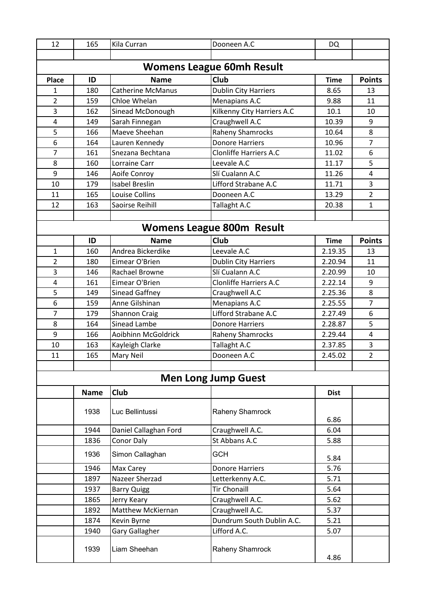| 12             | 165         | Kila Curran           | Dooneen A.C                      | <b>DQ</b>   |                |
|----------------|-------------|-----------------------|----------------------------------|-------------|----------------|
|                |             |                       |                                  |             |                |
|                |             |                       | <b>Womens League 60mh Result</b> |             |                |
| <b>Place</b>   | ID          | <b>Name</b>           | <b>Club</b>                      | <b>Time</b> | <b>Points</b>  |
| 1              | 180         | Catherine McManus     | <b>Dublin City Harriers</b>      | 8.65        | 13             |
| $\overline{2}$ | 159         | Chloe Whelan          | Menapians A.C                    | 9.88        | 11             |
| 3              | 162         | Sinead McDonough      | Kilkenny City Harriers A.C       | 10.1        | 10             |
| 4              | 149         | Sarah Finnegan        | Craughwell A.C                   | 10.39       | 9              |
| 5              | 166         | Maeve Sheehan         | <b>Raheny Shamrocks</b>          | 10.64       | 8              |
| 6              | 164         | Lauren Kennedy        | <b>Donore Harriers</b>           | 10.96       | $\overline{7}$ |
| $\overline{7}$ | 161         | Snezana Bechtana      | <b>Clonliffe Harriers A.C</b>    | 11.02       | 6              |
| 8              | 160         | Lorraine Carr         | Leevale A.C                      | 11.17       | 5              |
| 9              | 146         | Aoife Conroy          | Slí Cualann A.C                  | 11.26       | 4              |
| 10             | 179         | <b>Isabel Breslin</b> | Lifford Strabane A.C             | 11.71       | 3              |
| 11             | 165         | Louise Collins        | Dooneen A.C                      | 13.29       | $\overline{2}$ |
| 12             | 163         | Saoirse Reihill       | Tallaght A.C                     | 20.38       | $\mathbf{1}$   |
|                |             |                       |                                  |             |                |
|                |             |                       | <b>Womens League 800m Result</b> |             |                |
|                | ID          | <b>Name</b>           | Club                             | <b>Time</b> | <b>Points</b>  |
| 1              | 160         | Andrea Bickerdike     | Leevale A.C                      | 2.19.35     | 13             |
| $\overline{2}$ | 180         | Eimear O'Brien        | <b>Dublin City Harriers</b>      | 2.20.94     | 11             |
| 3              | 146         | Rachael Browne        | Slí Cualann A.C                  | 2.20.99     | 10             |
| $\overline{4}$ | 161         | Eimear O'Brien        | Clonliffe Harriers A.C           | 2.22.14     | 9              |
| 5              | 149         | Sinead Gaffney        | Craughwell A.C                   | 2.25.36     | 8              |
| 6              | 159         | Anne Gilshinan        | Menapians A.C                    | 2.25.55     | $\overline{7}$ |
| $\overline{7}$ | 179         | <b>Shannon Craig</b>  | Lifford Strabane A.C             | 2.27.49     | 6              |
| 8              | 164         | Sinead Lambe          | <b>Donore Harriers</b>           | 2.28.87     | 5              |
| 9              | 166         | Aoibhinn McGoldrick   | <b>Raheny Shamrocks</b>          | 2.29.44     | 4              |
| 10             | 163         | Kayleigh Clarke       | Tallaght A.C                     | 2.37.85     | 3              |
| 11             | 165         | Mary Neil             | Dooneen A.C                      | 2.45.02     | $\overline{2}$ |
|                |             |                       |                                  |             |                |
|                |             |                       | <b>Men Long Jump Guest</b>       |             |                |
|                | <b>Name</b> | <b>Club</b>           |                                  | <b>Dist</b> |                |
|                | 1938        | Luc Bellintussi       | Raheny Shamrock                  | 6.86        |                |
|                | 1944        | Daniel Callaghan Ford | Craughwell A.C.                  | 6.04        |                |
|                | 1836        | <b>Conor Daly</b>     | St Abbans A.C                    | 5.88        |                |
|                | 1936        | Simon Callaghan       | <b>GCH</b>                       | 5.84        |                |
|                | 1946        | Max Carey             | <b>Donore Harriers</b>           | 5.76        |                |
|                | 1897        | Nazeer Sherzad        | Letterkenny A.C.                 | 5.71        |                |
|                | 1937        | <b>Barry Quigg</b>    | <b>Tir Chonaill</b>              | 5.64        |                |
|                | 1865        | Jerry Keary           | Craughwell A.C.                  | 5.62        |                |
|                | 1892        | Matthew McKiernan     | Craughwell A.C.                  | 5.37        |                |
|                | 1874        | Kevin Byrne           | Dundrum South Dublin A.C.        | 5.21        |                |
|                | 1940        | Gary Gallagher        | Lifford A.C.                     | 5.07        |                |
|                | 1939        | Liam Sheehan          | Raheny Shamrock                  | 4.86        |                |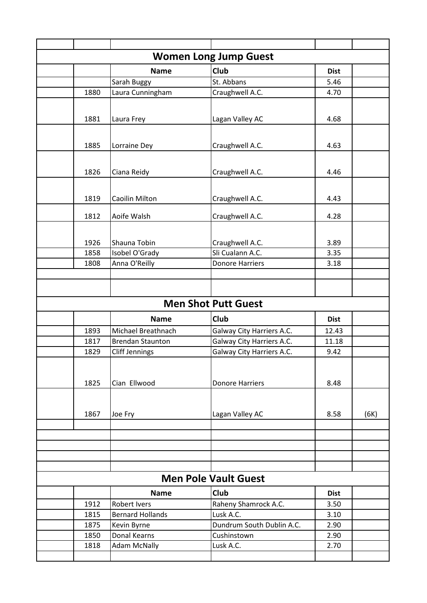|                             |      |                         | <b>Women Long Jump Guest</b>        |             |      |
|-----------------------------|------|-------------------------|-------------------------------------|-------------|------|
|                             |      | <b>Name</b>             | <b>Club</b>                         | <b>Dist</b> |      |
|                             |      | Sarah Buggy             | St. Abbans                          | 5.46        |      |
|                             | 1880 | Laura Cunningham        | Craughwell A.C.                     | 4.70        |      |
|                             |      |                         |                                     |             |      |
|                             | 1881 | Laura Frey              | Lagan Valley AC                     | 4.68        |      |
|                             |      |                         |                                     |             |      |
|                             |      |                         |                                     |             |      |
|                             | 1885 | Lorraine Dey            | Craughwell A.C.                     | 4.63        |      |
|                             |      |                         |                                     |             |      |
|                             | 1826 | Ciana Reidy             | Craughwell A.C.                     | 4.46        |      |
|                             |      |                         |                                     |             |      |
|                             |      |                         |                                     |             |      |
|                             | 1819 | Caoilin Milton          | Craughwell A.C.                     | 4.43        |      |
|                             | 1812 | Aoife Walsh             | Craughwell A.C.                     | 4.28        |      |
|                             |      |                         |                                     |             |      |
|                             | 1926 | Shauna Tobin            |                                     | 3.89        |      |
|                             | 1858 | Isobel O'Grady          | Craughwell A.C.<br>Sli Cualann A.C. | 3.35        |      |
|                             | 1808 | Anna O'Reilly           | <b>Donore Harriers</b>              | 3.18        |      |
|                             |      |                         |                                     |             |      |
|                             |      |                         |                                     |             |      |
|                             |      |                         |                                     |             |      |
|                             |      |                         | <b>Men Shot Putt Guest</b>          |             |      |
|                             |      | <b>Name</b>             | Club                                | <b>Dist</b> |      |
|                             | 1893 | Michael Breathnach      | Galway City Harriers A.C.           | 12.43       |      |
|                             | 1817 | <b>Brendan Staunton</b> | Galway City Harriers A.C.           | 11.18       |      |
|                             | 1829 | <b>Cliff Jennings</b>   | Galway City Harriers A.C.           | 9.42        |      |
|                             |      |                         |                                     |             |      |
|                             |      |                         |                                     |             |      |
|                             | 1825 | Cian Ellwood            | <b>Donore Harriers</b>              | 8.48        |      |
|                             |      |                         |                                     |             |      |
|                             | 1867 | Joe Fry                 | Lagan Valley AC                     | 8.58        | (6K) |
|                             |      |                         |                                     |             |      |
|                             |      |                         |                                     |             |      |
|                             |      |                         |                                     |             |      |
|                             |      |                         |                                     |             |      |
|                             |      |                         |                                     |             |      |
| <b>Men Pole Vault Guest</b> |      |                         |                                     |             |      |
|                             |      | <b>Name</b>             | Club                                | <b>Dist</b> |      |
|                             | 1912 | <b>Robert Ivers</b>     | Raheny Shamrock A.C.                | 3.50        |      |
|                             | 1815 | <b>Bernard Hollands</b> | Lusk A.C.                           | 3.10        |      |
|                             | 1875 | Kevin Byrne             | Dundrum South Dublin A.C.           | 2.90        |      |
|                             | 1850 | Donal Kearns            | Cushinstown                         | 2.90        |      |
|                             | 1818 | <b>Adam McNally</b>     | Lusk A.C.                           | 2.70        |      |
|                             |      |                         |                                     |             |      |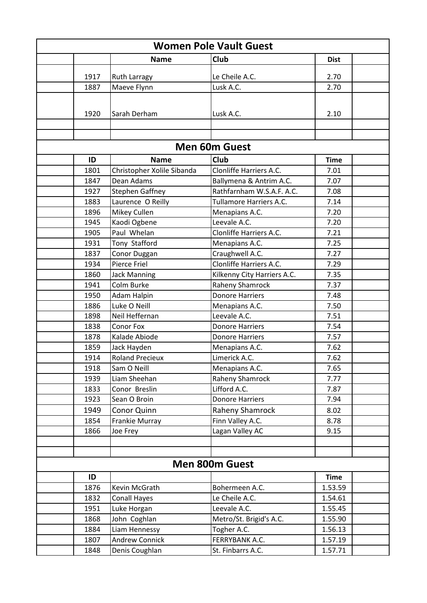| <b>Women Pole Vault Guest</b> |      |                            |                             |             |  |
|-------------------------------|------|----------------------------|-----------------------------|-------------|--|
|                               |      | <b>Name</b>                | Club                        | <b>Dist</b> |  |
|                               | 1917 | <b>Ruth Larragy</b>        | Le Cheile A.C.              | 2.70        |  |
|                               | 1887 | Maeve Flynn                | Lusk A.C.                   | 2.70        |  |
|                               |      |                            |                             |             |  |
|                               | 1920 | Sarah Derham               | Lusk A.C.                   | 2.10        |  |
|                               |      |                            |                             |             |  |
|                               |      |                            |                             |             |  |
|                               |      |                            | <b>Men 60m Guest</b>        |             |  |
|                               | ID   | <b>Name</b>                | <b>Club</b>                 | <b>Time</b> |  |
|                               | 1801 | Christopher Xolile Sibanda | Clonliffe Harriers A.C.     | 7.01        |  |
|                               | 1847 | Dean Adams                 | Ballymena & Antrim A.C.     | 7.07        |  |
|                               | 1927 | <b>Stephen Gaffney</b>     | Rathfarnham W.S.A.F. A.C.   | 7.08        |  |
|                               | 1883 | Laurence O Reilly          | Tullamore Harriers A.C.     | 7.14        |  |
|                               | 1896 | Mikey Cullen               | Menapians A.C.              | 7.20        |  |
|                               | 1945 | Kaodi Ogbene               | Leevale A.C.                | 7.20        |  |
|                               | 1905 | Paul Whelan                | Clonliffe Harriers A.C.     | 7.21        |  |
|                               | 1931 | Tony Stafford              | Menapians A.C.              | 7.25        |  |
|                               | 1837 | Conor Duggan               | Craughwell A.C.             | 7.27        |  |
|                               | 1934 | Pierce Friel               | Clonliffe Harriers A.C.     | 7.29        |  |
|                               | 1860 | <b>Jack Manning</b>        | Kilkenny City Harriers A.C. | 7.35        |  |
|                               | 1941 | Colm Burke                 | Raheny Shamrock             | 7.37        |  |
|                               | 1950 | Adam Halpin                | <b>Donore Harriers</b>      | 7.48        |  |
|                               | 1886 | Luke O Neill               | Menapians A.C.              | 7.50        |  |
|                               | 1898 | Neil Heffernan             | Leevale A.C.                | 7.51        |  |
|                               | 1838 | Conor Fox                  | <b>Donore Harriers</b>      | 7.54        |  |
|                               | 1878 | Kalade Abiode              | <b>Donore Harriers</b>      | 7.57        |  |
|                               | 1859 | Jack Hayden                | Menapians A.C.              | 7.62        |  |
|                               | 1914 | <b>Roland Precieux</b>     | Limerick A.C.               | 7.62        |  |
|                               | 1918 | Sam O Neill                | Menapians A.C.              | 7.65        |  |
|                               | 1939 | Liam Sheehan               | Raheny Shamrock             | 7.77        |  |
|                               | 1833 | Conor Breslin              | Lifford A.C.                | 7.87        |  |
|                               | 1923 | Sean O Broin               | <b>Donore Harriers</b>      | 7.94        |  |
|                               | 1949 | Conor Quinn                | <b>Raheny Shamrock</b>      | 8.02        |  |
|                               | 1854 | Frankie Murray             | Finn Valley A.C.            | 8.78        |  |
|                               | 1866 | Joe Frey                   | Lagan Valley AC             | 9.15        |  |
|                               |      |                            |                             |             |  |
|                               |      |                            |                             |             |  |
|                               |      |                            | <b>Men 800m Guest</b>       |             |  |
|                               | ID   |                            |                             | <b>Time</b> |  |
|                               | 1876 | Kevin McGrath              | Bohermeen A.C.              | 1.53.59     |  |
|                               | 1832 | <b>Conall Hayes</b>        | Le Cheile A.C.              | 1.54.61     |  |
|                               | 1951 | Luke Horgan                | Leevale A.C.                | 1.55.45     |  |
|                               | 1868 | John Coghlan               | Metro/St. Brigid's A.C.     | 1.55.90     |  |
|                               | 1884 | Liam Hennessy              | Togher A.C.                 | 1.56.13     |  |
|                               | 1807 | <b>Andrew Connick</b>      | FERRYBANK A.C.              | 1.57.19     |  |
|                               | 1848 | Denis Coughlan             | St. Finbarrs A.C.           | 1.57.71     |  |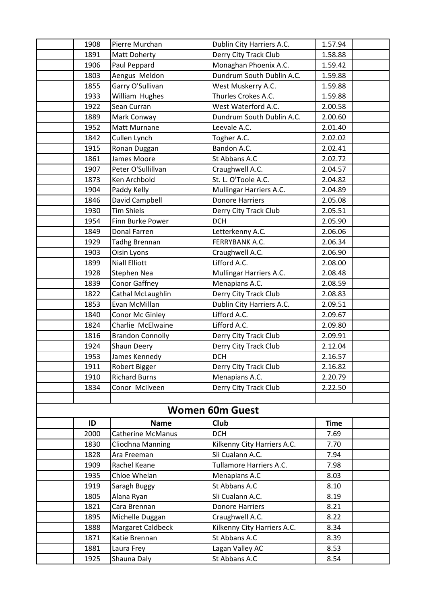| 1908 | Pierre Murchan          | Dublin City Harriers A.C.   | 1.57.94     |  |
|------|-------------------------|-----------------------------|-------------|--|
| 1891 | Matt Doherty            | Derry City Track Club       | 1.58.88     |  |
| 1906 | Paul Peppard            | Monaghan Phoenix A.C.       | 1.59.42     |  |
| 1803 | Aengus Meldon           | Dundrum South Dublin A.C.   | 1.59.88     |  |
| 1855 | Garry O'Sullivan        | West Muskerry A.C.          | 1.59.88     |  |
| 1933 | William Hughes          | Thurles Crokes A.C.         | 1.59.88     |  |
| 1922 | Sean Curran             | West Waterford A.C.         | 2.00.58     |  |
| 1889 | Mark Conway             | Dundrum South Dublin A.C.   | 2.00.60     |  |
| 1952 | Matt Murnane            | Leevale A.C.                | 2.01.40     |  |
| 1842 | Cullen Lynch            | Togher A.C.                 | 2.02.02     |  |
| 1915 | Ronan Duggan            | Bandon A.C.                 | 2.02.41     |  |
| 1861 | James Moore             | St Abbans A.C               | 2.02.72     |  |
| 1907 | Peter O'Sullillvan      | Craughwell A.C.             | 2.04.57     |  |
| 1873 | Ken Archbold            | St. L. O'Toole A.C.         | 2.04.82     |  |
| 1904 | Paddy Kelly             | Mullingar Harriers A.C.     | 2.04.89     |  |
| 1846 | David Campbell          | <b>Donore Harriers</b>      | 2.05.08     |  |
| 1930 | Tim Shiels              | Derry City Track Club       | 2.05.51     |  |
| 1954 | Finn Burke Power        | <b>DCH</b>                  | 2.05.90     |  |
| 1849 | Donal Farren            | Letterkenny A.C.            | 2.06.06     |  |
| 1929 | <b>Tadhg Brennan</b>    | FERRYBANK A.C.              | 2.06.34     |  |
| 1903 | Oisin Lyons             | Craughwell A.C.             | 2.06.90     |  |
| 1899 | <b>Niall Elliott</b>    | Lifford A.C.                | 2.08.00     |  |
| 1928 | <b>Stephen Nea</b>      | Mullingar Harriers A.C.     | 2.08.48     |  |
| 1839 | <b>Conor Gaffney</b>    | Menapians A.C.              | 2.08.59     |  |
| 1822 | Cathal McLaughlin       | Derry City Track Club       | 2.08.83     |  |
| 1853 | Evan McMillan           | Dublin City Harriers A.C.   | 2.09.51     |  |
| 1840 | Conor Mc Ginley         | Lifford A.C.                | 2.09.67     |  |
| 1824 | Charlie McElwaine       | Lifford A.C.                | 2.09.80     |  |
| 1816 | <b>Brandon Connolly</b> | Derry City Track Club       | 2.09.91     |  |
| 1924 | Shaun Deery             | Derry City Track Club       | 2.12.04     |  |
| 1953 | James Kennedy           | <b>DCH</b>                  | 2.16.57     |  |
| 1911 | Robert Bigger           | Derry City Track Club       | 2.16.82     |  |
| 1910 | <b>Richard Burns</b>    | Menapians A.C.              | 2.20.79     |  |
| 1834 | Conor McIlveen          | Derry City Track Club       | 2.22.50     |  |
|      |                         |                             |             |  |
|      |                         | <b>Women 60m Guest</b>      |             |  |
| ID   | <b>Name</b>             | Club                        | <b>Time</b> |  |
| 2000 | Catherine McManus       | <b>DCH</b>                  | 7.69        |  |
| 1830 | Cliodhna Manning        | Kilkenny City Harriers A.C. | 7.70        |  |
| 1828 | Ara Freeman             | Sli Cualann A.C.            | 7.94        |  |
| 1909 | Rachel Keane            | Tullamore Harriers A.C.     | 7.98        |  |
| 1935 | Chloe Whelan            | Menapians A.C               | 8.03        |  |
| 1919 | Saragh Buggy            | St Abbans A.C               | 8.10        |  |
| 1805 | Alana Ryan              | Sli Cualann A.C.            | 8.19        |  |
| 1821 | Cara Brennan            | <b>Donore Harriers</b>      | 8.21        |  |
| 1895 | Michelle Duggan         | Craughwell A.C.             | 8.22        |  |
| 1888 | Margaret Caldbeck       | Kilkenny City Harriers A.C. | 8.34        |  |
| 1871 | Katie Brennan           | St Abbans A.C               | 8.39        |  |
| 1881 | Laura Frey              | Lagan Valley AC             | 8.53        |  |
| 1925 | Shauna Daly             | St Abbans A.C               | 8.54        |  |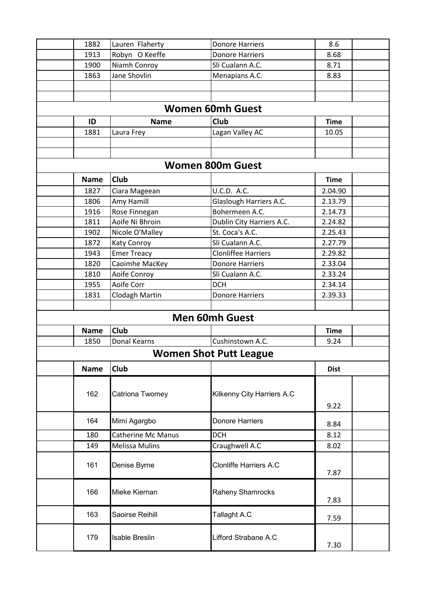| 1882        | Lauren Flaherty           | <b>Donore Harriers</b>        | 8.6         |  |
|-------------|---------------------------|-------------------------------|-------------|--|
| 1913        | Robyn O Keeffe            | <b>Donore Harriers</b>        | 8.68        |  |
| 1900        | Niamh Conroy              | Sli Cualann A.C.              | 8.71        |  |
| 1863        | Jane Shovlin              | Menapians A.C.                | 8.83        |  |
|             |                           |                               |             |  |
|             |                           |                               |             |  |
|             |                           | <b>Women 60mh Guest</b>       |             |  |
| ID          | <b>Name</b>               | <b>Club</b>                   | <b>Time</b> |  |
| 1881        | Laura Frey                | Lagan Valley AC               | 10.05       |  |
|             |                           |                               |             |  |
|             |                           |                               |             |  |
|             |                           | <b>Women 800m Guest</b>       |             |  |
| <b>Name</b> | <b>Club</b>               |                               | <b>Time</b> |  |
| 1827        | Ciara Mageean             | U.C.D. A.C.                   | 2.04.90     |  |
| 1806        | Amy Hamill                | Glaslough Harriers A.C.       | 2.13.79     |  |
| 1916        | Rose Finnegan             | Bohermeen A.C.                | 2.14.73     |  |
| 1811        | Aoife Ni Bhroin           | Dublin City Harriers A.C.     | 2.24.82     |  |
| 1902        | Nicole O'Malley           | St. Coca's A.C.               | 2.25.43     |  |
| 1872        | Katy Conroy               | Sli Cualann A.C.              | 2.27.79     |  |
| 1943        | <b>Emer Treacy</b>        | <b>Clonliffee Harriers</b>    | 2.29.82     |  |
| 1820        | Caoimhe MacKey            | <b>Donore Harriers</b>        | 2.33.04     |  |
| 1810        | Aoife Conroy              | Sli Cualann A.C.              | 2.33.24     |  |
| 1955        | Aoife Corr                | <b>DCH</b>                    | 2.34.14     |  |
| 1831        | Clodagh Martin            | <b>Donore Harriers</b>        | 2.39.33     |  |
|             |                           |                               |             |  |
|             |                           | <b>Men 60mh Guest</b>         |             |  |
| <b>Name</b> | <b>Club</b>               |                               | <b>Time</b> |  |
| 1850        | Donal Kearns              | Cushinstown A.C.              | 9.24        |  |
|             |                           | <b>Women Shot Putt League</b> |             |  |
| <b>Name</b> | <b>Club</b>               |                               | <b>Dist</b> |  |
|             |                           |                               |             |  |
| 162         | Catriona Twomey           | Kilkenny City Harriers A.C    |             |  |
|             |                           |                               | 9.22        |  |
|             |                           |                               |             |  |
| 164         | Mimi Agargbo              | <b>Donore Harriers</b>        | 8.84        |  |
| 180         | <b>Catherine Mc Manus</b> | <b>DCH</b>                    | 8.12        |  |
| 149         | <b>Melissa Mulins</b>     | Craughwell A.C                | 8.02        |  |
|             |                           |                               |             |  |
| 161         | Denise Byrne              | <b>Clonliffe Harriers A.C</b> |             |  |
|             |                           |                               | 7.87        |  |
| 166         | Mieke Kiernan             | Raheny Shamrocks              |             |  |
|             |                           |                               | 7.83        |  |
| 163         | Saoirse Reihill           | Tallaght A.C                  |             |  |
|             |                           |                               | 7.59        |  |
| 179         |                           | Lifford Strabane A.C          |             |  |
|             | Isable Breslin            |                               | 7.30        |  |
|             |                           |                               |             |  |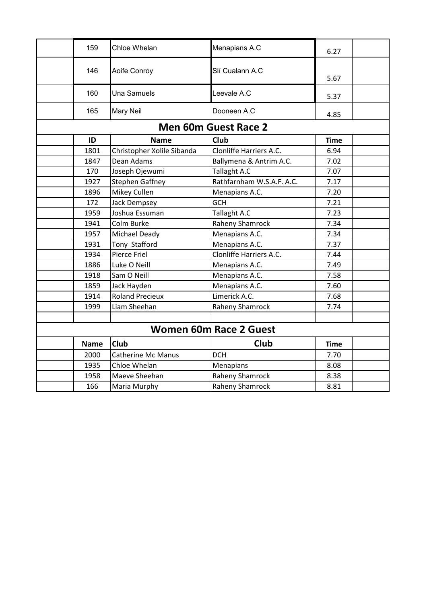| 159         | Chloe Whelan               | Menapians A.C                 | 6.27        |  |
|-------------|----------------------------|-------------------------------|-------------|--|
| 146         | Aoife Conroy               | Slí Cualann A.C               |             |  |
|             |                            |                               | 5.67        |  |
| 160         | <b>Una Samuels</b>         | Leevale A.C                   | 5.37        |  |
| 165         | <b>Mary Neil</b>           | Dooneen A.C                   | 4.85        |  |
|             |                            | <b>Men 60m Guest Race 2</b>   |             |  |
| ID          | <b>Name</b>                | <b>Club</b>                   | <b>Time</b> |  |
| 1801        | Christopher Xolile Sibanda | Clonliffe Harriers A.C.       | 6.94        |  |
| 1847        | Dean Adams                 | Ballymena & Antrim A.C.       | 7.02        |  |
| 170         | Joseph Ojewumi             | Tallaght A.C                  | 7.07        |  |
| 1927        | <b>Stephen Gaffney</b>     | Rathfarnham W.S.A.F. A.C.     | 7.17        |  |
| 1896        | Mikey Cullen               | Menapians A.C.                | 7.20        |  |
| 172         | <b>Jack Dempsey</b>        | <b>GCH</b>                    | 7.21        |  |
| 1959        | Joshua Essuman             | Tallaght A.C                  | 7.23        |  |
| 1941        | Colm Burke                 | <b>Raheny Shamrock</b>        | 7.34        |  |
| 1957        | Michael Deady              | Menapians A.C.                | 7.34        |  |
| 1931        | Tony Stafford              | Menapians A.C.                | 7.37        |  |
| 1934        | Pierce Friel               | Clonliffe Harriers A.C.       | 7.44        |  |
| 1886        | Luke O Neill               | Menapians A.C.                | 7.49        |  |
| 1918        | Sam O Neill                | Menapians A.C.                | 7.58        |  |
| 1859        | Jack Hayden                | Menapians A.C.                | 7.60        |  |
| 1914        | <b>Roland Precieux</b>     | Limerick A.C.                 | 7.68        |  |
| 1999        | Liam Sheehan               | <b>Raheny Shamrock</b>        | 7.74        |  |
|             |                            |                               |             |  |
|             |                            | <b>Women 60m Race 2 Guest</b> |             |  |
| <b>Name</b> | <b>Club</b>                | Club                          | <b>Time</b> |  |
| 2000        | <b>Catherine Mc Manus</b>  | <b>DCH</b>                    | 7.70        |  |
| 1935        | Chloe Whelan               | Menapians                     | 8.08        |  |
| 1958        | Maeve Sheehan              | <b>Raheny Shamrock</b>        | 8.38        |  |
| 166         | Maria Murphy               | <b>Raheny Shamrock</b>        | 8.81        |  |
|             |                            |                               |             |  |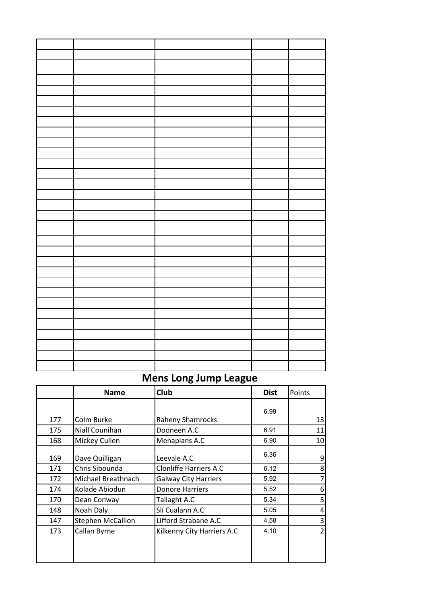## **Mens Long Jump League**

|     | <b>Name</b>              | Club                          | <b>Dist</b> | Points          |
|-----|--------------------------|-------------------------------|-------------|-----------------|
|     |                          |                               | 6.99        |                 |
| 177 | Colm Burke               | <b>Raheny Shamrocks</b>       |             | 13              |
| 175 | Niall Counihan           | Dooneen A.C                   | 6.91        | 11              |
| 168 | Mickey Cullen            | Menapians A.C                 | 6.90        | 10 <sup>1</sup> |
| 169 | Dave Quilligan           | Leevale A.C                   | 6.36        | $\overline{9}$  |
| 171 | Chris Sibounda           | <b>Clonliffe Harriers A.C</b> | 6.12        | 8               |
| 172 | Michael Breathnach       | <b>Galway City Harriers</b>   | 5.92        | $\overline{7}$  |
| 174 | Kolade Abiodun           | <b>Donore Harriers</b>        | 5.52        | 6               |
| 170 | Dean Conway              | Tallaght A.C                  | 5.34        | 5               |
| 148 | Noah Daly                | Slí Cualann A.C               | 5.05        | 4               |
| 147 | <b>Stephen McCallion</b> | Lifford Strabane A.C          | 4.58        | 3               |
| 173 | Callan Byrne             | Kilkenny City Harriers A.C    | 4.10        | 2               |
|     |                          |                               |             |                 |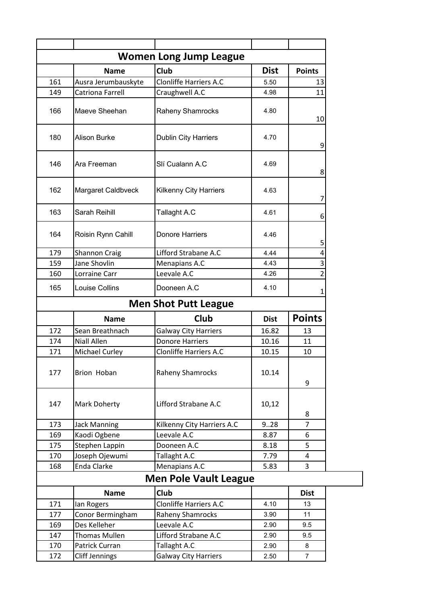| <b>Women Long Jump League</b> |                       |                               |             |                |  |
|-------------------------------|-----------------------|-------------------------------|-------------|----------------|--|
|                               | <b>Name</b>           | Club                          | <b>Dist</b> | <b>Points</b>  |  |
| 161                           | Ausra Jerumbauskyte   | <b>Clonliffe Harriers A.C</b> | 5.50        | 13             |  |
| 149                           | Catriona Farrell      | Craughwell A.C                | 4.98        | 11             |  |
| 166                           | Maeve Sheehan         | Raheny Shamrocks              | 4.80        | 10             |  |
| 180                           | <b>Alison Burke</b>   | <b>Dublin City Harriers</b>   | 4.70        | 9              |  |
| 146                           | Ara Freeman           | Slí Cualann A.C               | 4.69        | 8              |  |
| 162                           | Margaret Caldbveck    | <b>Kilkenny City Harriers</b> | 4.63        | 7              |  |
| 163                           | Sarah Reihill         | Tallaght A.C                  | 4.61        | 6              |  |
| 164                           | Roisin Rynn Cahill    | Donore Harriers               | 4.46        | 5              |  |
| 179                           | <b>Shannon Craig</b>  | Lifford Strabane A.C          | 4.44        | 4              |  |
| 159                           | Jane Shovlin          | Menapians A.C                 | 4.43        | 3              |  |
| 160                           | Lorraine Carr         | Leevale A.C                   | 4.26        | 2              |  |
| 165                           | Louise Collins        | Dooneen A.C                   | 4.10        | 1              |  |
|                               |                       | <b>Men Shot Putt League</b>   |             |                |  |
|                               | <b>Name</b>           | Club                          | <b>Dist</b> | <b>Points</b>  |  |
| 172                           | Sean Breathnach       | <b>Galway City Harriers</b>   | 16.82       | 13             |  |
| 174                           | <b>Niall Allen</b>    | <b>Donore Harriers</b>        | 10.16       | 11             |  |
| 171                           | Michael Curley        | <b>Clonliffe Harriers A.C</b> | 10.15       | 10             |  |
| 177                           | Brion Hoban           | <b>Raheny Shamrocks</b>       | 10.14       | 9              |  |
| 147                           | <b>Mark Doherty</b>   | Lifford Strabane A.C          | 10,12       | 8              |  |
| 173                           | <b>Jack Manning</b>   | Kilkenny City Harriers A.C    | 9.028       | $\overline{7}$ |  |
| 169                           | Kaodi Ogbene          | Leevale A.C                   | 8.87        | 6              |  |
| 175                           | Stephen Lappin        | Dooneen A.C                   | 8.18        | 5              |  |
| 170                           | Joseph Ojewumi        | Tallaght A.C                  | 7.79        | 4              |  |
| 168                           | Enda Clarke           | Menapians A.C                 | 5.83        | $\overline{3}$ |  |
|                               |                       | <b>Men Pole Vault League</b>  |             |                |  |
|                               | <b>Name</b>           | <b>Club</b>                   |             | <b>Dist</b>    |  |
| 171                           | Ian Rogers            | <b>Clonliffe Harriers A.C</b> | 4.10        | 13             |  |
| 177                           | Conor Bermingham      | Raheny Shamrocks              | 3.90        | 11             |  |
| 169                           | Des Kelleher          | Leevale A.C                   | 2.90        | 9.5            |  |
| 147                           | <b>Thomas Mullen</b>  | Lifford Strabane A.C          | 2.90        | 9.5            |  |
| 170                           | Patrick Curran        | Tallaght A.C                  | 2.90        | 8              |  |
| 172                           | <b>Cliff Jennings</b> | <b>Galway City Harriers</b>   | 2.50        | $\overline{7}$ |  |
|                               |                       |                               |             |                |  |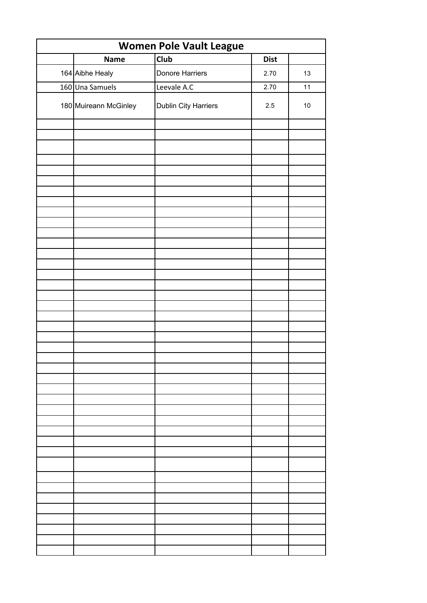| <b>Women Pole Vault League</b> |                       |                      |             |        |
|--------------------------------|-----------------------|----------------------|-------------|--------|
|                                | <b>Name</b>           | $\overline{C}$ lub   | <b>Dist</b> |        |
|                                | 164 Aibhe Healy       | Donore Harriers      | 2.70        | 13     |
|                                | 160 Una Samuels       | Leevale A.C          | 2.70        | 11     |
|                                | 180 Muireann McGinley | Dublin City Harriers | 2.5         | $10\,$ |
|                                |                       |                      |             |        |
|                                |                       |                      |             |        |
|                                |                       |                      |             |        |
|                                |                       |                      |             |        |
|                                |                       |                      |             |        |
|                                |                       |                      |             |        |
|                                |                       |                      |             |        |
|                                |                       |                      |             |        |
|                                |                       |                      |             |        |
|                                |                       |                      |             |        |
|                                |                       |                      |             |        |
|                                |                       |                      |             |        |
|                                |                       |                      |             |        |
|                                |                       |                      |             |        |
|                                |                       |                      |             |        |
|                                |                       |                      |             |        |
|                                |                       |                      |             |        |
|                                |                       |                      |             |        |
|                                |                       |                      |             |        |
|                                |                       |                      |             |        |
|                                |                       |                      |             |        |
|                                |                       |                      |             |        |
|                                |                       |                      |             |        |
|                                |                       |                      |             |        |
|                                |                       |                      |             |        |
|                                |                       |                      |             |        |
|                                |                       |                      |             |        |
|                                |                       |                      |             |        |
|                                |                       |                      |             |        |
|                                |                       |                      |             |        |
|                                |                       |                      |             |        |
|                                |                       |                      |             |        |
|                                |                       |                      |             |        |
|                                |                       |                      |             |        |